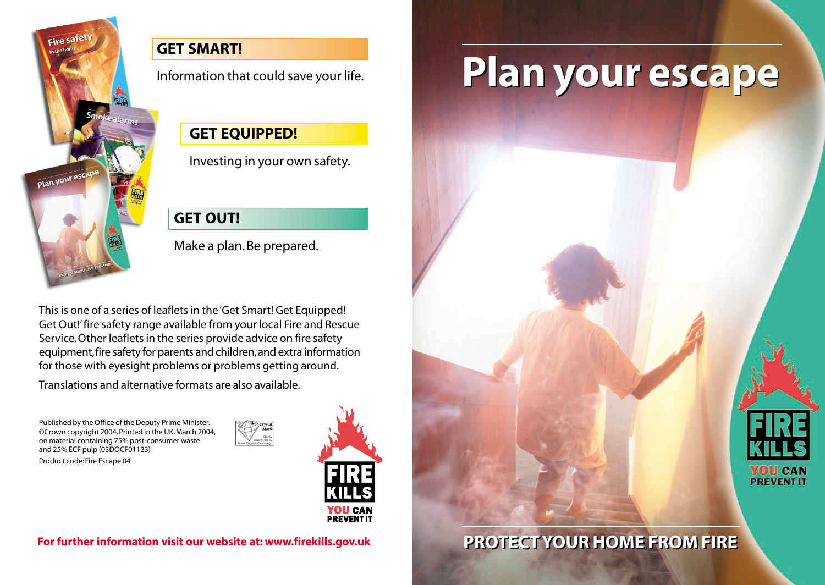

#### **GET SMART!**

Information that could save your life.

#### **GET EQUIPPED!**

Investing in your own safety.

### **GET OUT!**

Make a plan. Be prepared.

This is one of a series of leaflets in the 'Get Smart! Get Equipped! Get Out!'fire safety range available from your local Fire and Rescue Service.Other leaflets in the series provide advice on fire safety equipment, fire safety for parents and children, and extra information for those with eyesight problems or problems getting around.

Translations and alternative formats are also available.

Published by the Office of the Deputy Prime Minister. ©Crown copyright 2004. Printed in the UK, March 2004, on material containing 75% post-consumer waste and 25% ECF pulp (03DOCF01123)

Product code: Fire Escape 04



# **Plan your escape Plan your escape**

### **PROTECT YOUR HOME FROM FIRE For further information visit our website at: www.firekills.gov.uk PROTECT YOUR HOME FROM FIRE**

YOU CAN **PREVENT IT**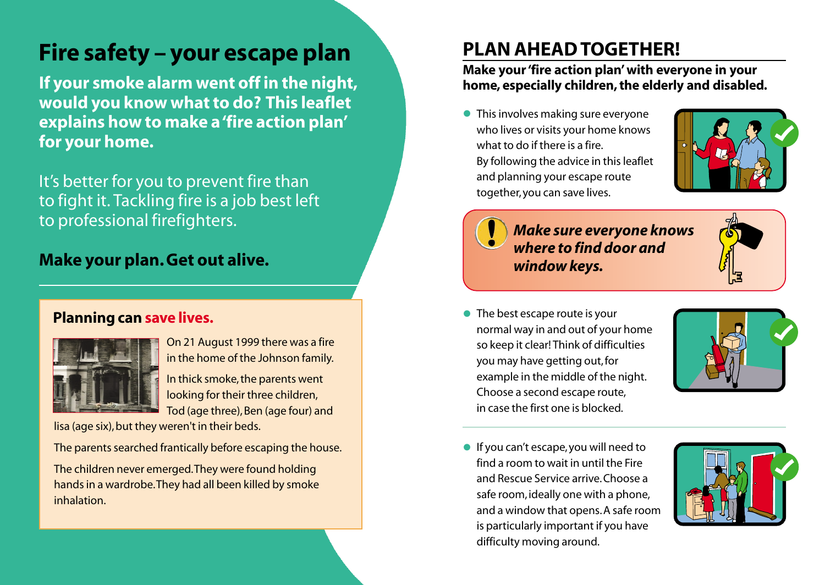### **Fire safety – your escape plan**

**If your smoke alarm went off in the night, would you know what to do? This leaflet explains how to make a 'fire action plan' for your home.**

It's better for you to prevent fire than to fight it. Tackling fire is a job best left to professional firefighters.

#### **Make your plan. Get out alive.**

#### **Planning can save lives.**



On 21 August 1999 there was a fire in the home of the Johnson family. In thick smoke, the parents went looking for their three children,

Tod (age three), Ben (age four) and lisa (age six), but they weren't in their beds.

The parents searched frantically before escaping the house.

The children never emerged.They were found holding hands in a wardrobe.They had all been killed by smoke inhalation.

### **PLAN AHEAD TOGETHER!**

#### **Make your 'fire action plan'with everyone in your home, especially children, the elderly and disabled.**

**•** This involves making sure everyone who lives or visits your home knows what to do if there is a fire. By following the advice in this leaflet and planning your escape route together, you can save lives.





#### *Make sure everyone knows where to find door and window keys.*

• The best escape route is your normal way in and out of your home so keep it clear! Think of difficulties you may have getting out, for example in the middle of the night. Choose a second escape route, in case the first one is blocked.



• If you can't escape, you will need to find a room to wait in until the Fire and Rescue Service arrive.Choose a safe room, ideally one with a phone, and a window that opens. A safe room is particularly important if you have difficulty moving around.

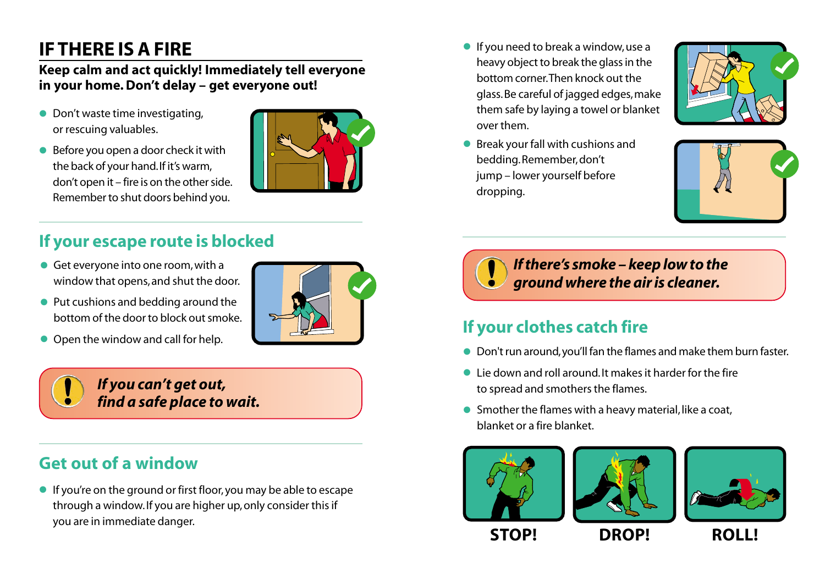### **IF THERE IS A FIRE**

#### **Keep calm and act quickly! Immediately tell everyone in your home. Don't delay – get everyone out!**

- Don't waste time investigating, or rescuing valuables.
- Before you open a door check it with the back of your hand.If it's warm, don't open it – fire is on the other side. Remember to shut doors behind you.



- **•** Get everyone into one room, with a window that opens, and shut the door.
- Put cushions and bedding around the bottom of the door to block out smoke.
- 





#### *If you can't get out, find a safe place to wait.*

### **Get out of a window**

• If you're on the ground or first floor, you may be able to escape through a window. If you are higher up, only consider this if you are in immediate danger.

- **•** If you need to break a window, use a heavy object to break the glass in the bottom corner.Then knock out the glass.Be careful of jagged edges,make them safe by laying a towel or blanket over them.
- Break your fall with cushions and bedding.Remember, don't jump – lower yourself before dropping.





*If there's smoke – keep low to the ground where the air is cleaner.*

## • Open the window and call for help. **If your clothes catch fire**

- Don't run around,you'll fan the flames and make them burn faster.
- Lie down and roll around. It makes it harder for the fire to spread and smothers the flames.
- Smother the flames with a heavy material, like a coat, blanket or a fire blanket.







**STOP! DROP! ROLL!**